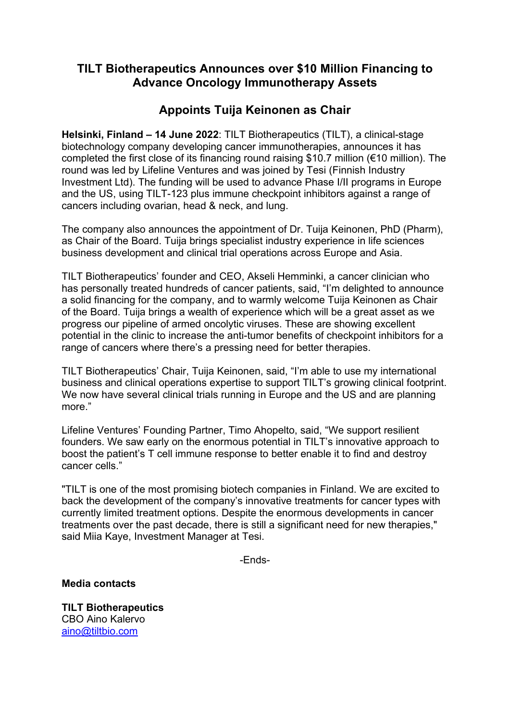# **TILT Biotherapeutics Announces over \$10 Million Financing to Advance Oncology Immunotherapy Assets**

# **Appoints Tuija Keinonen as Chair**

**Helsinki, Finland – 14 June 2022**: TILT Biotherapeutics (TILT), a clinical-stage biotechnology company developing cancer immunotherapies, announces it has completed the first close of its financing round raising \$10.7 million (€10 million). The round was led by Lifeline Ventures and was joined by Tesi (Finnish Industry Investment Ltd). The funding will be used to advance Phase I/II programs in Europe and the US, using TILT-123 plus immune checkpoint inhibitors against a range of cancers including ovarian, head & neck, and lung.

The company also announces the appointment of Dr. Tuija Keinonen, PhD (Pharm), as Chair of the Board. Tuija brings specialist industry experience in life sciences business development and clinical trial operations across Europe and Asia.

TILT Biotherapeutics' founder and CEO, Akseli Hemminki, a cancer clinician who has personally treated hundreds of cancer patients, said, "I'm delighted to announce a solid financing for the company, and to warmly welcome Tuija Keinonen as Chair of the Board. Tuija brings a wealth of experience which will be a great asset as we progress our pipeline of armed oncolytic viruses. These are showing excellent potential in the clinic to increase the anti-tumor benefits of checkpoint inhibitors for a range of cancers where there's a pressing need for better therapies.

TILT Biotherapeutics' Chair, Tuija Keinonen, said, "I'm able to use my international business and clinical operations expertise to support TILT's growing clinical footprint. We now have several clinical trials running in Europe and the US and are planning more."

Lifeline Ventures' Founding Partner, Timo Ahopelto, said, "We support resilient founders. We saw early on the enormous potential in TILT's innovative approach to boost the patient's T cell immune response to better enable it to find and destroy cancer cells."

"TILT is one of the most promising biotech companies in Finland. We are excited to back the development of the company's innovative treatments for cancer types with currently limited treatment options. Despite the enormous developments in cancer treatments over the past decade, there is still a significant need for new therapies," said Miia Kaye, Investment Manager at Tesi.

-Ends-

**Media contacts**

**TILT Biotherapeutics** CBO Aino Kalervo [aino@tiltbio.com](mailto:aino@tiltbio.com)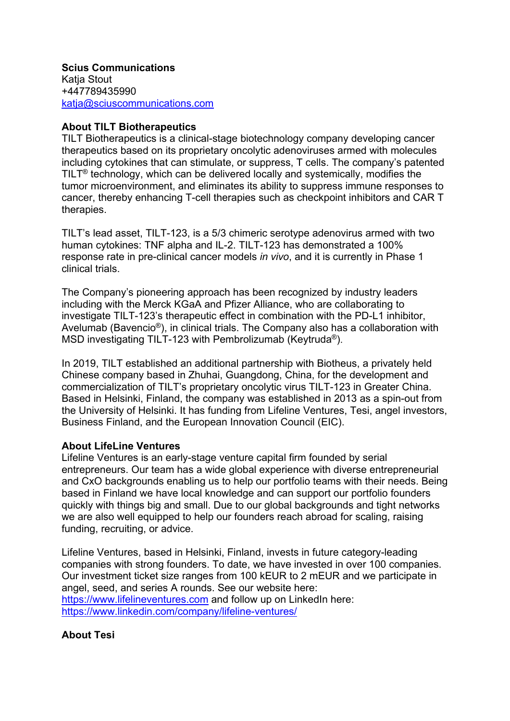**Scius Communications** Katja Stout +447789435990 [katja@sciuscommunications.com](mailto:katja@sciuscommunications.com)

## **About TILT Biotherapeutics**

TILT Biotherapeutics is a clinical-stage biotechnology company developing cancer therapeutics based on its proprietary oncolytic adenoviruses armed with molecules including cytokines that can stimulate, or suppress, T cells. The company's patented TILT® technology, which can be delivered locally and systemically, modifies the tumor microenvironment, and eliminates its ability to suppress immune responses to cancer, thereby enhancing T-cell therapies such as checkpoint inhibitors and CAR T therapies.

TILT's lead asset, TILT-123, is a 5/3 chimeric serotype adenovirus armed with two human cytokines: TNF alpha and IL-2. TILT-123 has demonstrated a 100% response rate in pre-clinical cancer models *in vivo*, and it is currently in Phase 1 clinical trials.

The Company's pioneering approach has been recognized by industry leaders including with the Merck KGaA and Pfizer Alliance, who are collaborating to investigate TILT-123's therapeutic effect in combination with the PD-L1 inhibitor, Avelumab (Bavencio®), in clinical trials. The Company also has a collaboration with MSD investigating TILT-123 with Pembrolizumab (Keytruda®).

In 2019, TILT established an additional partnership with Biotheus, a privately held Chinese company based in Zhuhai, Guangdong, China, for the development and commercialization of TILT's proprietary oncolytic virus TILT-123 in Greater China. Based in Helsinki, Finland, the company was established in 2013 as a spin-out from the University of Helsinki. It has funding from Lifeline Ventures, Tesi, angel investors, Business Finland, and the European Innovation Council (EIC).

### **About LifeLine Ventures**

Lifeline Ventures is an early-stage venture capital firm founded by serial entrepreneurs. Our team has a wide global experience with diverse entrepreneurial and CxO backgrounds enabling us to help our portfolio teams with their needs. Being based in Finland we have local knowledge and can support our portfolio founders quickly with things big and small. Due to our global backgrounds and tight networks we are also well equipped to help our founders reach abroad for scaling, raising funding, recruiting, or advice.

Lifeline Ventures, based in Helsinki, Finland, invests in future category-leading companies with strong founders. To date, we have invested in over 100 companies. Our investment ticket size ranges from 100 kEUR to 2 mEUR and we participate in angel, seed, and series A rounds. See our website here: [https://www.lifelineventures.com](https://www.lifelineventures.com/) and follow up on LinkedIn here: <https://www.linkedin.com/company/lifeline-ventures/>

### **About Tesi**